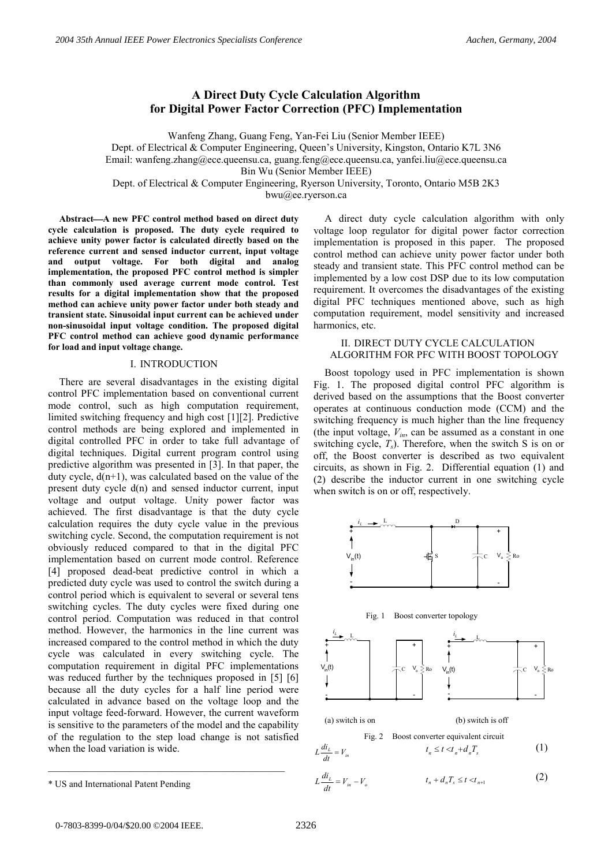# **A Direct Duty Cycle Calculation Algorithm for Digital Power Factor Correction (PFC) Implementation**

Wanfeng Zhang, Guang Feng, Yan-Fei Liu (Senior Member IEEE) Dept. of Electrical & Computer Engineering, Queen's University, Kingston, Ontario K7L 3N6 Email: wanfeng.zhang@ece.queensu.ca, guang.feng@ece.queensu.ca, yanfei.liu@ece.queensu.ca Bin Wu (Senior Member IEEE) Dept. of Electrical & Computer Engineering, Ryerson University, Toronto, Ontario M5B 2K3 bwu@ee.ryerson.ca

**AbstractA new PFC control method based on direct duty cycle calculation is proposed. The duty cycle required to achieve unity power factor is calculated directly based on the reference current and sensed inductor current, input voltage and output voltage. For both digital and analog implementation, the proposed PFC control method is simpler than commonly used average current mode control. Test results for a digital implementation show that the proposed method can achieve unity power factor under both steady and transient state. Sinusoidal input current can be achieved under non-sinusoidal input voltage condition. The proposed digital PFC control method can achieve good dynamic performance for load and input voltage change.** 

## I. INTRODUCTION

There are several disadvantages in the existing digital control PFC implementation based on conventional current mode control, such as high computation requirement, limited switching frequency and high cost [1][2]. Predictive control methods are being explored and implemented in digital controlled PFC in order to take full advantage of digital techniques. Digital current program control using predictive algorithm was presented in [3]. In that paper, the duty cycle,  $d(n+1)$ , was calculated based on the value of the present duty cycle d(n) and sensed inductor current, input voltage and output voltage. Unity power factor was achieved. The first disadvantage is that the duty cycle calculation requires the duty cycle value in the previous switching cycle. Second, the computation requirement is not obviously reduced compared to that in the digital PFC implementation based on current mode control. Reference [4] proposed dead-beat predictive control in which a predicted duty cycle was used to control the switch during a control period which is equivalent to several or several tens switching cycles. The duty cycles were fixed during one control period. Computation was reduced in that control method. However, the harmonics in the line current was increased compared to the control method in which the duty cycle was calculated in every switching cycle. The computation requirement in digital PFC implementations was reduced further by the techniques proposed in [5] [6] because all the duty cycles for a half line period were calculated in advance based on the voltage loop and the input voltage feed-forward. However, the current waveform is sensitive to the parameters of the model and the capability of the regulation to the step load change is not satisfied when the load variation is wide.

## II. DIRECT DUTY CYCLE CALCULATION ALGORITHM FOR PFC WITH BOOST TOPOLOGY

Boost topology used in PFC implementation is shown Fig. 1. The proposed digital control PFC algorithm is derived based on the assumptions that the Boost converter operates at continuous conduction mode (CCM) and the switching frequency is much higher than the line frequency (the input voltage,  $V_{in}$ , can be assumed as a constant in one switching cycle,  $T_s$ ). Therefore, when the switch S is on or off, the Boost converter is described as two equivalent circuits, as shown in Fig. 2. Differential equation (1) and (2) describe the inductor current in one switching cycle when switch is on or off, respectively.







(a) switch is on (b) switch is off

Fig. 2 Boost converter equivalent circuit

$$
L\frac{di_L}{dt} = V_{in} \qquad t_n \le t < t_n + d_n T_s \tag{1}
$$

$$
L\frac{di_{L}}{dt} = V_{in} - V_{o} \qquad t_{n} + d_{n}T_{s} \leq t < t_{n+1}
$$
 (2)

 $\frac{L}{\cdot} = V_{in}$ *dt*

A direct duty cycle calculation algorithm with only voltage loop regulator for digital power factor correction implementation is proposed in this paper. The proposed control method can achieve unity power factor under both steady and transient state. This PFC control method can be implemented by a low cost DSP due to its low computation requirement. It overcomes the disadvantages of the existing digital PFC techniques mentioned above, such as high computation requirement, model sensitivity and increased harmonics, etc.

<sup>\*</sup> US and International Patent Pending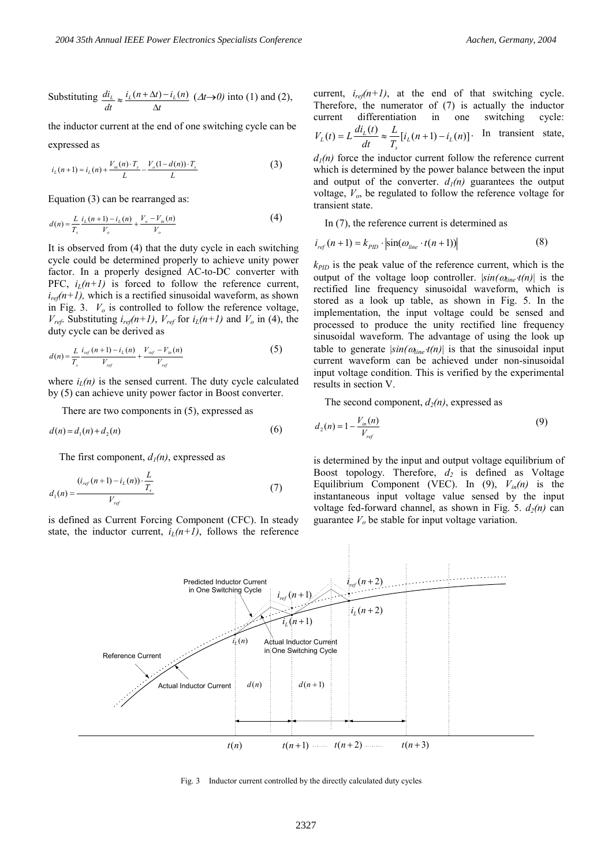Substituting *t*  $i_l (n + \Delta t) - i_l (n$ *dt*  $di_L$ <sup>*l*</sup><sub>*L*</sub> $(i_L(n + \Delta t) - i_L)$  $\Delta$  $\approx \frac{i_L(n+\Delta t) - i_L(n)}{(\Delta t \rightarrow 0)}$  into (1) and (2),

the inductor current at the end of one switching cycle can be expressed as

$$
i_{L}(n+1) = i_{L}(n) + \frac{V_{in}(n) \cdot T_{s}}{L} - \frac{V_{o}(1 - d(n)) \cdot T_{s}}{L}
$$
 (3)

Equation (3) can be rearranged as:

$$
d(n) = \frac{L}{T_s} \frac{i_L(n+1) - i_L(n)}{V_o} + \frac{V_o - V_m(n)}{V_o}
$$
(4)

It is observed from (4) that the duty cycle in each switching cycle could be determined properly to achieve unity power factor. In a properly designed AC-to-DC converter with PFC,  $i_l(n+1)$  is forced to follow the reference current,  $i_{ref}(n+1)$ , which is a rectified sinusoidal waveform, as shown in Fig. 3.  $V<sub>o</sub>$  is controlled to follow the reference voltage,  $V_{ref}$ . Substituting  $i_{ref}(n+1)$ ,  $V_{ref}$  for  $i_L(n+1)$  and  $V_o$  in (4), the duty cycle can be derived as

$$
d(n) = \frac{L}{T_s} \frac{i_{ref}(n+1) - i_L(n)}{V_{ref}} + \frac{V_{ref} - V_{in}(n)}{V_{ref}}
$$
(5)

where  $i_l(n)$  is the sensed current. The duty cycle calculated by (5) can achieve unity power factor in Boost converter.

There are two components in (5), expressed as

$$
d(n) = d_1(n) + d_2(n)
$$
 (6)

The first component,  $d_l(n)$ , expressed as

$$
d_1(n) = \frac{(i_{ref}(n+1) - i_L(n)) \cdot \frac{L}{T_s}}{V_{ref}}
$$
(7)

is defined as Current Forcing Component (CFC). In steady state, the inductor current,  $i_l(n+1)$ , follows the reference current,  $i_{ref}(n+1)$ , at the end of that switching cycle. Therefore, the numerator of (7) is actually the inductor current differentiation in one switching cycle:  $(t) = L \frac{di_L(t)}{dt} \approx \frac{L}{T_s} [i_L(n+1) - i_L(n)]$ *L*  $V_L(t) = L \frac{di_L(t)}{dt} \approx \frac{L}{T_s} [i_L(n+1) - i_L]$  $L_l(t) = L \frac{di_l(t)}{dt} \approx \frac{L}{T} [i_l(n+1) - i_l(n)]$ . In transient state,

 $d_1(n)$  force the inductor current follow the reference current which is determined by the power balance between the input and output of the converter.  $d_1(n)$  guarantees the output voltage, *Vo*, be regulated to follow the reference voltage for transient state.

In (7), the reference current is determined as

$$
i_{ref}(n+1) = k_{PID} \cdot \left| \sin(\omega_{line} \cdot t(n+1)) \right| \tag{8}
$$

 $k_{PID}$  is the peak value of the reference current, which is the output of the voltage loop controller.  $|\sin(\omega_{line} t(n))|$  is the rectified line frequency sinusoidal waveform, which is stored as a look up table, as shown in Fig. 5. In the implementation, the input voltage could be sensed and processed to produce the unity rectified line frequency sinusoidal waveform. The advantage of using the look up table to generate  $|\sin(\omega_{\text{line}} t(n))|$  is that the sinusoidal input current waveform can be achieved under non-sinusoidal input voltage condition. This is verified by the experimental results in section V.

The second component,  $d_2(n)$ , expressed as

$$
d_2(n) = 1 - \frac{V_{in}(n)}{V_{ref}}
$$
(9)

is determined by the input and output voltage equilibrium of Boost topology. Therefore,  $d_2$  is defined as Voltage Equilibrium Component (VEC). In  $(9)$ ,  $V_{in}(n)$  is the instantaneous input voltage value sensed by the input voltage fed-forward channel, as shown in Fig. 5.  $d_2(n)$  can guarantee  $V<sub>o</sub>$  be stable for input voltage variation.



Fig. 3 Inductor current controlled by the directly calculated duty cycles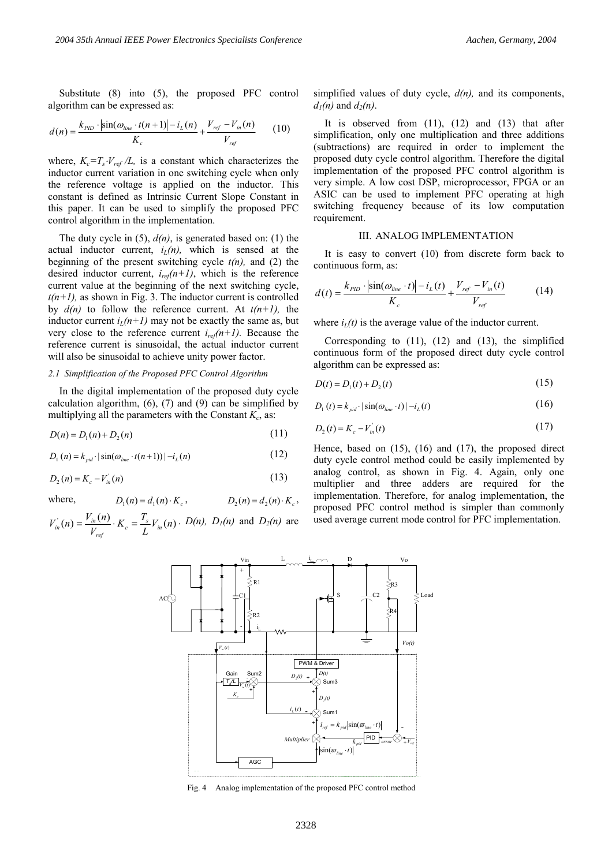Substitute (8) into (5), the proposed PFC control algorithm can be expressed as:

$$
d(n) = \frac{k_{PID} \cdot |\sin(\omega_{line} \cdot t(n+1)| - i_L(n)}{K_c} + \frac{V_{ref} - V_{in}(n)}{V_{ref}} \qquad (10)
$$

where,  $K_c = T_s \cdot V_{ref}/L$ , is a constant which characterizes the inductor current variation in one switching cycle when only the reference voltage is applied on the inductor. This constant is defined as Intrinsic Current Slope Constant in this paper. It can be used to simplify the proposed PFC control algorithm in the implementation.

The duty cycle in (5), *d(n)*, is generated based on: (1) the actual inductor current,  $i_l(n)$ , which is sensed at the beginning of the present switching cycle *t(n),* and (2) the desired inductor current,  $i_{ref}(n+1)$ , which is the reference current value at the beginning of the next switching cycle,  $t(n+1)$ , as shown in Fig. 3. The inductor current is controlled by  $d(n)$  to follow the reference current. At  $t(n+1)$ , the inductor current  $i_l(n+1)$  may not be exactly the same as, but very close to the reference current  $i_{ref}(n+1)$ . Because the reference current is sinusoidal, the actual inductor current will also be sinusoidal to achieve unity power factor.

#### *2.1 Simplification of the Proposed PFC Control Algorithm*

In the digital implementation of the proposed duty cycle calculation algorithm,  $(6)$ ,  $(7)$  and  $(9)$  can be simplified by multiplying all the parameters with the Constant  $K_c$ , as:

$$
D(n) = D_1(n) + D_2(n)
$$
\n(11)

 $D_1(n) = k_{pid} \cdot |\sin(\omega_{line} \cdot t(n+1))| - i_L(n)$  (12)

$$
D_2(n) = K_c - V_{in}(n) \tag{13}
$$

where,  $D_1(n) = d_1(n) \cdot K_c$ ,  $D_2(n) = d_2(n) \cdot K_c$ ,

$$
V_{in}^{'}(n) = \frac{V_{in}(n)}{V_{ref}} \cdot K_c = \frac{T_s}{L} V_{in}(n) \cdot D(n), D_l(n)
$$
 and  $D_2(n)$  are

simplified values of duty cycle, *d(n),* and its components,  $d_1(n)$  and  $d_2(n)$ .

It is observed from  $(11)$ ,  $(12)$  and  $(13)$  that after simplification, only one multiplication and three additions (subtractions) are required in order to implement the proposed duty cycle control algorithm. Therefore the digital implementation of the proposed PFC control algorithm is very simple. A low cost DSP, microprocessor, FPGA or an ASIC can be used to implement PFC operating at high switching frequency because of its low computation requirement.

#### III. ANALOG IMPLEMENTATION

It is easy to convert (10) from discrete form back to continuous form, as:

$$
d(t) = \frac{k_{PID} \cdot |\sin(\omega_{line} \cdot t)| - i_L(t)}{K_c} + \frac{V_{ref} - V_{in}(t)}{V_{ref}}
$$
(14)

where  $i_l(t)$  is the average value of the inductor current.

Corresponding to (11), (12) and (13), the simplified continuous form of the proposed direct duty cycle control algorithm can be expressed as:

$$
D(t) = D_1(t) + D_2(t)
$$
\n(15)

$$
D_1(t) = k_{pid} \cdot |\sin(\omega_{line} \cdot t)| - i_L(t)
$$
 (16)

$$
D_2(t) = K_c - V_{in}^{\dagger}(t) \tag{17}
$$

Hence, based on (15), (16) and (17), the proposed direct duty cycle control method could be easily implemented by analog control, as shown in Fig. 4. Again, only one multiplier and three adders are required for the implementation. Therefore, for analog implementation, the proposed PFC control method is simpler than commonly used average current mode control for PFC implementation.



Fig. 4 Analog implementation of the proposed PFC control method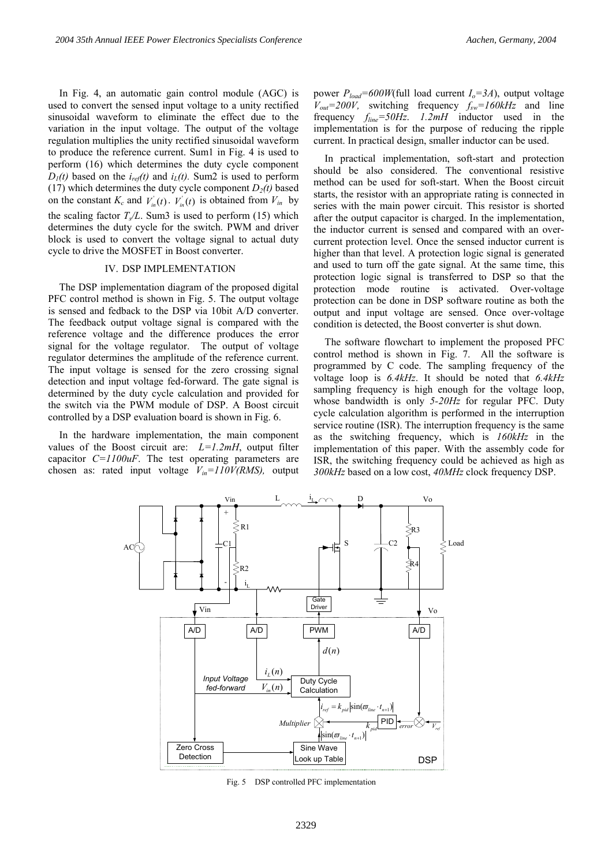In Fig. 4, an automatic gain control module (AGC) is used to convert the sensed input voltage to a unity rectified sinusoidal waveform to eliminate the effect due to the variation in the input voltage. The output of the voltage regulation multiplies the unity rectified sinusoidal waveform to produce the reference current. Sum1 in Fig. 4 is used to perform (16) which determines the duty cycle component  $D_1(t)$  based on the  $i_{ref}(t)$  and  $i_L(t)$ . Sum2 is used to perform (17) which determines the duty cycle component  $D_2(t)$  based on the constant  $K_c$  and  $V_{in}^{\dagger}(t)$ .  $V_{in}^{\dagger}(t)$  is obtained from  $V_{in}$  by the scaling factor  $T<sub>s</sub>/L$ . Sum3 is used to perform (15) which determines the duty cycle for the switch. PWM and driver block is used to convert the voltage signal to actual duty cycle to drive the MOSFET in Boost converter.

## IV. DSP IMPLEMENTATION

The DSP implementation diagram of the proposed digital PFC control method is shown in Fig. 5. The output voltage is sensed and fedback to the DSP via 10bit A/D converter. The feedback output voltage signal is compared with the reference voltage and the difference produces the error signal for the voltage regulator. The output of voltage regulator determines the amplitude of the reference current. The input voltage is sensed for the zero crossing signal detection and input voltage fed-forward. The gate signal is determined by the duty cycle calculation and provided for the switch via the PWM module of DSP. A Boost circuit controlled by a DSP evaluation board is shown in Fig. 6.

In the hardware implementation, the main component values of the Boost circuit are:  $L=1.2mH$ , output filter capacitor *C=1100uF*. The test operating parameters are chosen as: rated input voltage *Vin=110V(RMS),* output power  $P_{load} = 600W$ (full load current  $I_o = 3A$ ), output voltage  $V_{out} = 200V$ , switching frequency  $f_{sw} = 160kHz$  and line frequency *fline=50Hz*. *1.2mH* inductor used in the implementation is for the purpose of reducing the ripple current. In practical design, smaller inductor can be used.

In practical implementation, soft-start and protection should be also considered. The conventional resistive method can be used for soft-start. When the Boost circuit starts, the resistor with an appropriate rating is connected in series with the main power circuit. This resistor is shorted after the output capacitor is charged. In the implementation, the inductor current is sensed and compared with an overcurrent protection level. Once the sensed inductor current is higher than that level. A protection logic signal is generated and used to turn off the gate signal. At the same time, this protection logic signal is transferred to DSP so that the protection mode routine is activated. Over-voltage protection can be done in DSP software routine as both the output and input voltage are sensed. Once over-voltage condition is detected, the Boost converter is shut down.

The software flowchart to implement the proposed PFC control method is shown in Fig. 7. All the software is programmed by C code. The sampling frequency of the voltage loop is *6.4kHz*. It should be noted that *6.4kHz*  sampling frequency is high enough for the voltage loop, whose bandwidth is only *5-20Hz* for regular PFC. Duty cycle calculation algorithm is performed in the interruption service routine (ISR). The interruption frequency is the same as the switching frequency, which is *160kHz* in the implementation of this paper. With the assembly code for ISR, the switching frequency could be achieved as high as *300kHz* based on a low cost, *40MHz* clock frequency DSP.



Fig. 5 DSP controlled PFC implementation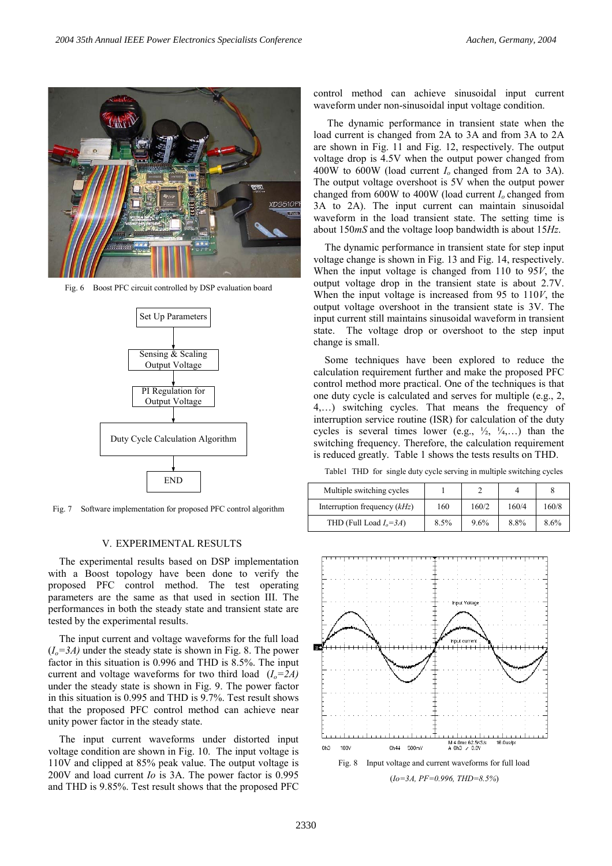

Fig. 6 Boost PFC circuit controlled by DSP evaluation board



Fig. 7 Software implementation for proposed PFC control algorithm

## V. EXPERIMENTAL RESULTS

The experimental results based on DSP implementation with a Boost topology have been done to verify the proposed PFC control method. The test operating parameters are the same as that used in section III. The performances in both the steady state and transient state are tested by the experimental results.

The input current and voltage waveforms for the full load  $(I<sub>o</sub>=3A)$  under the steady state is shown in Fig. 8. The power factor in this situation is 0.996 and THD is 8.5%. The input current and voltage waveforms for two third load  $(I_0=2A)$ under the steady state is shown in Fig. 9. The power factor in this situation is 0.995 and THD is 9.7%. Test result shows that the proposed PFC control method can achieve near unity power factor in the steady state.

The input current waveforms under distorted input voltage condition are shown in Fig. 10. The input voltage is 110V and clipped at 85% peak value. The output voltage is 200V and load current *Io* is 3A. The power factor is 0.995 and THD is 9.85%. Test result shows that the proposed PFC

control method can achieve sinusoidal input current waveform under non-sinusoidal input voltage condition.

 The dynamic performance in transient state when the load current is changed from 2A to 3A and from 3A to 2A are shown in Fig. 11 and Fig. 12, respectively. The output voltage drop is 4.5V when the output power changed from 400W to 600W (load current *Io* changed from 2A to 3A). The output voltage overshoot is 5V when the output power changed from 600W to 400W (load current *Io* changed from 3A to 2A). The input current can maintain sinusoidal waveform in the load transient state. The setting time is about 150*mS* and the voltage loop bandwidth is about 15*Hz*.

The dynamic performance in transient state for step input voltage change is shown in Fig. 13 and Fig. 14, respectively. When the input voltage is changed from 110 to 95*V*, the output voltage drop in the transient state is about 2.7V. When the input voltage is increased from 95 to 110*V*, the output voltage overshoot in the transient state is 3V. The input current still maintains sinusoidal waveform in transient state. The voltage drop or overshoot to the step input change is small.

Some techniques have been explored to reduce the calculation requirement further and make the proposed PFC control method more practical. One of the techniques is that one duty cycle is calculated and serves for multiple (e.g., 2, 4,…) switching cycles. That means the frequency of interruption service routine (ISR) for calculation of the duty cycles is several times lower (e.g.,  $\frac{1}{2}$ ,  $\frac{1}{4}$ ,...) than the switching frequency. Therefore, the calculation requirement is reduced greatly. Table 1 shows the tests results on THD.

Table1 THD for single duty cycle serving in multiple switching cycles

| Multiple switching cycles      |      |       |       |       |
|--------------------------------|------|-------|-------|-------|
| Interruption frequency $(kHz)$ | 160  | 160/2 | 160/4 | 160/8 |
| THD (Full Load $I_0 = 3A$ )    | 8.5% | 9.6%  | 8.8%  | 8.6%  |

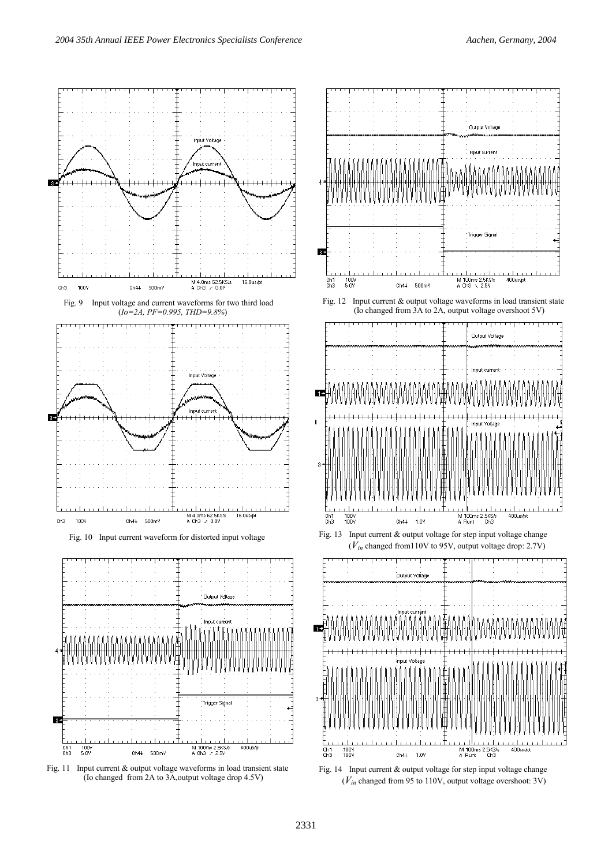





Fig. 12 Input current & output voltage waveforms in load transient state (Io changed from 3A to 2A, output voltage overshoot 5V)



(*Vin* changed from110V to 95V, output voltage drop: 2.7V)



Fig. 14 Input current & output voltage for step input voltage change (*Vin* changed from 95 to 110V, output voltage overshoot: 3V)